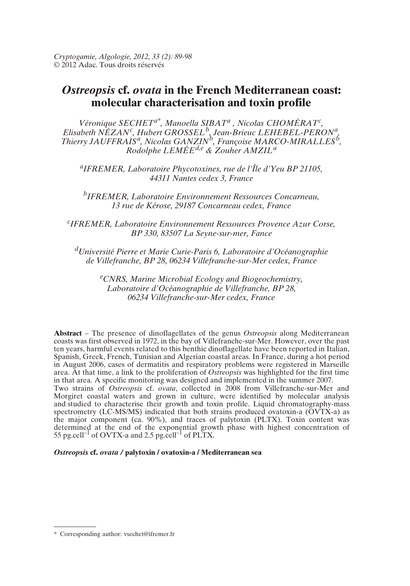*Cryptogamie, Algologie, 2012, 33 (2): 89-98* © 2012 Adac. Tous droits réservés

# *Ostreopsis* **cf.** *ovata* **in the French Mediterranean coast: molecular characterisation and toxin profile**

*Véronique SECHETa\*, Manoella SIBAT<sup>a</sup> , Nicolas CHOMÉRAT<sup>c</sup> , Elisabeth NÉZAN<sup>c</sup> , Hubert GROSSEL<sup>b</sup> , Jean-Brieuc LEHEBEL-PERON<sup>a</sup> , Thierry JAUFFRAIS<sup>a</sup>*, *Nicolas GANZIN<sup>b</sup>*, *Françoise MARCO-MIRALLES<sup>b</sup>*, *Rodolphe LEMÉEd,e & Zouher AMZIL<sup>a</sup>*

*a IFREMER, Laboratoire Phycotoxines, rue de l'Île d'Yeu BP 21105, 44311 Nantes cedex 3, France*

*b IFREMER, Laboratoire Environnement Ressources Concarneau, 13 rue de Kérose, 29187 Concarneau cedex, France*

*c IFREMER, Laboratoire Environnement Ressources Provence Azur Corse, BP 330, 83507 La Seyne-sur-mer, Fance*

*<sup>d</sup>Université Pierre et Marie Curie-Paris 6, Laboratoire d'Océanographie de Villefranche, BP 28, 06234 Villefranche-sur-Mer cedex, France*

> *<sup>e</sup>CNRS, Marine Microbial Ecology and Biogeochemistry, Laboratoire d'Océanographie de Villefranche, BP 28, 06234 Villefranche-sur-Mer cedex, France*

**Abstract** – The presence of dinoflagellates of the genus *Ostreopsis* along Mediterranean coasts was first observed in 1972, in the bay of Villefranche-sur-Mer. However, over the past ten years, harmful events related to this benthic dinoflagellate have been reported in Italian, Spanish, Greek, French, Tunisian and Algerian coastal areas. In France, during a hot period in August 2006, cases of dermatitis and respiratory problems were registered in Marseille area. At that time, a link to the proliferation of *Ostreopsis* was highlighted for the first time in that area. A specific monitoring was designed and implemented in the summer 2007. Two strains of *Ostreopsis* cf. *ovata*, collected in 2008 from Villefranche-sur-Mer and Morgiret coastal waters and grown in culture, were identified by molecular analysis and studied to characterise their growth and toxin profile. Liquid chromatography-mass spectrometry (LC-MS/MS) indicated that both strains produced ovatoxin-a ( $\overrightarrow{O}V\overrightarrow{TX}$ -a) as the major component (ca. 90%), and traces of palytoxin (PLTX). Toxin content was determined at the end of the exponential growth phase with highest concentration of  $55 \text{ pc}$ , cell<sup>-1</sup> of OVTX-a and 2.5 pg.cell<sup>-1</sup> of PLTX.

#### *Ostreopsis* **cf.** *ovata /* **palytoxin / ovatoxin-a / Mediterranean sea**

<sup>\*</sup> Corresponding author: vsechet@ifremer.fr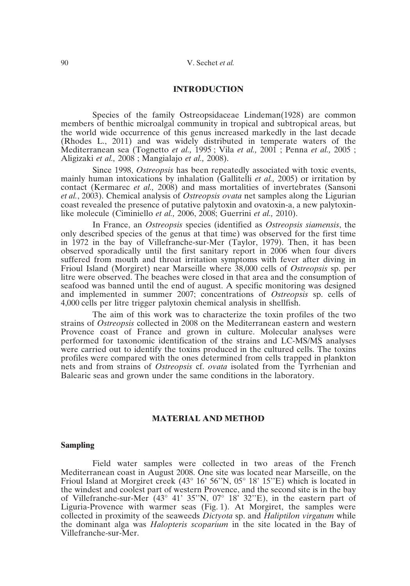# **INTRODUCTION**

Species of the family Ostreopsidaceae Lindeman(1928) are common members of benthic microalgal community in tropical and subtropical areas, but the world wide occurrence of this genus increased markedly in the last decade (Rhodes L., 2011) and was widely distributed in temperate waters of the Mediterranean sea (Tognetto *et al.,* 1995 ; Vila *et al.,* 2001 ; Penna *et al.,* 2005 ; Aligizaki *et al.,* 2008 ; Mangialajo *et al.,* 2008).

Since 1998, *Ostreopsis* has been repeatedly associated with toxic events, mainly human intoxications by inhalation (Gallitelli *et al.,* 2005) or irritation by contact (Kermarec *et al.,* 2008) and mass mortalities of invertebrates (Sansoni *et al.*, 2003). Chemical analysis of *Ostreopsis ovata* net samples along the Ligurian coast revealed the presence of putative palytoxin and ovatoxin-a, a new palytoxinlike molecule (Ciminiello *et al.,* 2006, 2008; Guerrini *et al.,* 2010).

In France, an *Ostreopsis* species (identified as *Ostreopsis siamensis*, the only described species of the genus at that time) was observed for the first time in 1972 in the bay of Villefranche-sur-Mer (Taylor, 1979). Then, it has been observed sporadically until the first sanitary report in 2006 when four divers suffered from mouth and throat irritation symptoms with fever after diving in Frioul Island (Morgiret) near Marseille where 38,000 cells of *Ostreopsis* sp. per litre were observed. The beaches were closed in that area and the consumption of seafood was banned until the end of august. A specific monitoring was designed and implemented in summer 2007; concentrations of *Ostreopsis* sp. cells of 4,000 cells per litre trigger palytoxin chemical analysis in shellfish.

The aim of this work was to characterize the toxin profiles of the two strains of *Ostreopsis* collected in 2008 on the Mediterranean eastern and western Provence coast of France and grown in culture. Molecular analyses were performed for taxonomic identification of the strains and LC-MS/MS analyses were carried out to identify the toxins produced in the cultured cells. The toxins profiles were compared with the ones determined from cells trapped in plankton nets and from strains of *Ostreopsis* cf. *ovata* isolated from the Tyrrhenian and Balearic seas and grown under the same conditions in the laboratory.

# **MATERIAL AND METHOD**

## **Sampling**

Field water samples were collected in two areas of the French Mediterranean coast in August 2008. One site was located near Marseille, on the Frioul Island at Morgiret creek (43° 16' 56''N, 05° 18' 15''E) which is located in the windest and coolest part of western Provence, and the second site is in the bay of Villefranche-sur-Mer (43° 41' 35''N, 07° 18' 32''E), in the eastern part of Liguria-Provence with warmer seas (Fig. 1). At Morgiret, the samples were collected in proximity of the seaweeds *Dictyota* sp. and *Haliptilon virgatum* while the dominant alga was *Halopteris scoparium* in the site located in the Bay of Villefranche-sur-Mer.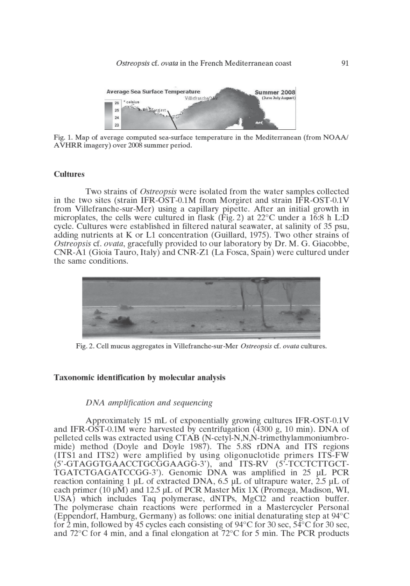

Fig. 1. Map of average computed sea-surface temperature in the Mediterranean (from NOAA/ AVHRR imagery) over 2008 summer period.

# **Cultures**

Two strains of *Ostreopsis* were isolated from the water samples collected in the two sites (strain IFR-OST-0.1M from Morgiret and strain IFR-OST-0.1V from Villefranche-sur-Mer) using a capillary pipette. After an initial growth in microplates, the cells were cultured in flask (Fig. 2) at  $22^{\circ}$ C under a 16:8 h L:D cycle. Cultures were established in filtered natural seawater, at salinity of 35 psu, adding nutrients at K or L1 concentration (Guillard, 1975). Two other strains of Ostreopsis cf. ovata, gracefully provided to our laboratory by Dr. M. G. Giacobbe, CNR-A1 (Gioia Tauro, Italy) and CNR-Z1 (La Fosca, Spain) were cultured under the same conditions.



Fig. 2. Cell mucus aggregates in Villefranche-sur-Mer Ostreopsis cf. ovata cultures.

# Taxonomic identification by molecular analysis

# DNA amplification and sequencing

Approximately 15 mL of exponentially growing cultures IFR-OST-0.1V and IFR-OST-0.1M were harvested by centrifugation  $(4300 g, 10 min)$ . DNA of pelleted cells was extracted using CTAB (N-cetyl-N,N,N-trimethylammoniumbromide) method (Doyle and Doyle 1987). The 5.8S rDNA and ITS regions (ITS1 and ITS2) were amplified by using oligonuclotide primers ITS-FW (5'-GTAGGTGAACCTGCGGAAGG-3'), and ITS-RV (5'-TCCTCTTGCT-TGATCTGAGATCCGG-3'). Genomic DNA was amplified in 25 µL PCR reaction containing 1 µL of extracted DNA, 6.5 µL of ultrapure water, 2.5 µL of each primer (10  $\mu$ M) and 12.5  $\mu$ L of PCR Master Mix 1X (Promega, Madison, WI, USA) which includes Taq polymerase, dNTPs, MgCl2 and reaction buffer. The polymerase chain reactions were performed in a Mastercycler Personal (Eppendorf, Hamburg, Germany) as follows: one initial denaturating step at 94°C for 2 min, followed by 45 cycles each consisting of 94 $\degree$ C for 30 sec, 54 $\degree$ C for 30 sec, and  $72^{\circ}$ C for 4 min, and a final elongation at  $72^{\circ}$ C for 5 min. The PCR products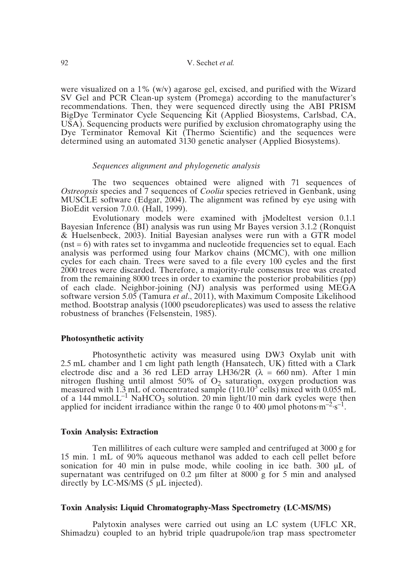# 92 V. Sechet *et al.*

were visualized on a 1% (w/v) agarose gel, excised, and purified with the Wizard SV Gel and PCR Clean-up system (Promega) according to the manufacturer's recommendations. Then, they were sequenced directly using the ABI PRISM BigDye Terminator Cycle Sequencing Kit (Applied Biosystems, Carlsbad, CA, USA). Sequencing products were purified by exclusion chromatography using the Dye Terminator Removal Kit (Thermo Scientific) and the sequences were determined using an automated 3130 genetic analyser (Applied Biosystems).

## *Sequences alignment and phylogenetic analysis*

The two sequences obtained were aligned with 71 sequences of *Ostreopsis* species and 7 sequences of *Coolia* species retrieved in Genbank, using MUSCLE software (Edgar, 2004). The alignment was refined by eye using with BioEdit version 7.0.0. (Hall, 1999).

Evolutionary models were examined with jModeltest version 0.1.1 Bayesian Inference (BI) analysis was run using Mr Bayes version 3.1.2 (Ronquist & Huelsenbeck, 2003). Initial Bayesian analyses were run with a GTR model  $(nst = 6)$  with rates set to invgamma and nucleotide frequencies set to equal. Each analysis was performed using four Markov chains (MCMC), with one million cycles for each chain. Trees were saved to a file every 100 cycles and the first 2000 trees were discarded. Therefore, a majority-rule consensus tree was created from the remaining 8000 trees in order to examine the posterior probabilities (pp) of each clade. Neighbor-joining (NJ) analysis was performed using MEGA software version 5.05 (Tamura *et al*., 2011), with Maximum Composite Likelihood method. Bootstrap analysis (1000 pseudoreplicates) was used to assess the relative robustness of branches (Felsenstein, 1985).

# **Photosynthetic activity**

Photosynthetic activity was measured using DW3 Oxylab unit with 2.5 mL chamber and 1 cm light path length (Hansatech, UK) fitted with a Clark electrode disc and a 36 red LED array LH36/2R ( $\lambda = 660$  nm). After 1 min nitrogen flushing until almost 50% of  $O_2$  saturation, oxygen production was measured with 1.3 mL of concentrated sample  $(110.10^3$  cells) mixed with 0.055 mL of a 144 mmol. $L^{-1}$  NaHCO<sub>3</sub> solution. 20 min light/10 min dark cycles were then applied for incident irradiance within the range 0 to 400 umol photons·m<sup>-2</sup>·s<sup>-1</sup>.

# **Toxin Analysis: Extraction**

Ten millilitres of each culture were sampled and centrifuged at 3000 g for 15 min. 1 mL of 90% aqueous methanol was added to each cell pellet before sonication for 40 min in pulse mode, while cooling in ice bath. 300 µL of supernatant was centrifuged on 0.2  $\mu$ m filter at 8000 g for 5 min and analysed directly by LC-MS/MS  $(5 \mu L \text{ injected})$ .

# **Toxin Analysis: Liquid Chromatography-Mass Spectrometry (LC-MS/MS)**

Palytoxin analyses were carried out using an LC system (UFLC XR, Shimadzu) coupled to an hybrid triple quadrupole/ion trap mass spectrometer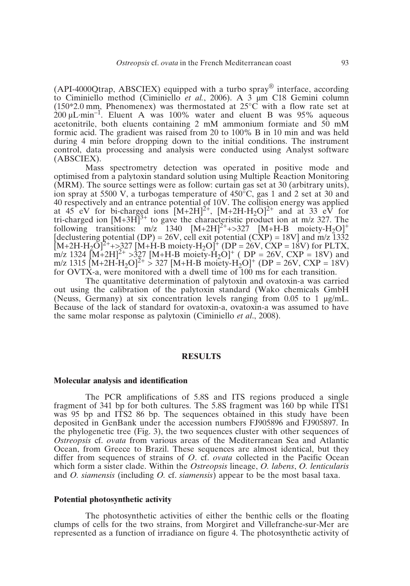(API-4000 Otrap, ABSCIEX) equipped with a turbo spray<sup>®</sup> interface, according to Ciminiello method (Ciminiello *et al.*, 2006). A 3 µm C18 Gemini column  $(150*2.0 \text{ mm}$ . Phenomenex) was thermostated at  $25^{\circ}$ C with a flow rate set at  $200 \mu L \cdot min^{-1}$ . Eluent A was 100% water and eluent B was 95% aqueous acetonitrile, both eluents containing 2 mM ammonium formiate and 50 mM formic acid. The gradient was raised from 20 to 100% B in 10 min and was held during 4 min before dropping down to the initial conditions. The instrument control, data processing and analysis were conducted using Analyst software (ABSCIEX).

Mass spectrometry detection was operated in positive mode and optimised from a palytoxin standard solution using Multiple Reaction Monitoring (MRM). The source settings were as follow: curtain gas set at 30 (arbitrary units), ion spray at 5500 V, a turbogas temperature of 450°C, gas 1 and 2 set at 30 and 40 respectively and an entrance potential of 10V. The collision energy was applied at 45 eV for bi-charged ions  $[M+2H]^2$ <sup>+</sup>,  $[M+2H-H_2O]^2$ <sup>+</sup> and at 33 eV for tri-charged ion  $[M+3H]^{3+}$  to gave the characteristic product ion at m/z 327. The following transitions:  $m/z$  1340  $[M+2H]^{2+}$ +>327  $[M+H-B$  moiety-H<sub>2</sub>O]<sup>+</sup> [declustering potential (DP) = 26V, cell exit potential (CXP) = 18V] and  $m/z$  1332  $[M+2H-H_2O]^{2+}$  +>327 [M+H-B moiety-H<sub>2</sub>O]<sup>+</sup> (DP = 26V, CXP = 18V) for PLTX,  $m/z$  1324  $[M+2H]^2$  >327  $[M+H-B \text{ moiety-H}_2O]^+$  (DP = 26V, CXP = 18V) and m/z 1315  $\text{[M+2H-H}_2\text{O}]^2$  > 327  $\text{[M+H-B moiety-H}_2\text{O}]^+$  (DP = 26V, CXP = 18V) for OVTX-a, were monitored with a dwell time of 100 ms for each transition.

The quantitative determination of palytoxin and ovatoxin-a was carried out using the calibration of the palytoxin standard (Wako chemicals GmbH (Neuss, Germany) at six concentration levels ranging from 0.05 to 1 µg/mL. Because of the lack of standard for ovatoxin-a, ovatoxin-a was assumed to have the same molar response as palytoxin (Ciminiello *et al*., 2008).

# **RESULTS**

#### **Molecular analysis and identification**

The PCR amplifications of 5.8S and ITS regions produced a single fragment of 341 bp for both cultures. The 5.8S fragment was 160 bp while ITS1 was 95 bp and ITS2 86 bp. The sequences obtained in this study have been deposited in GenBank under the accession numbers FJ905896 and FJ905897. In the phylogenetic tree (Fig. 3), the two sequences cluster with other sequences of *Ostreopsis* cf. *ovata* from various areas of the Mediterranean Sea and Atlantic Ocean, from Greece to Brazil. These sequences are almost identical, but they differ from sequences of strains of *O*. cf. *ovata* collected in the Pacific Ocean which form a sister clade. Within the *Ostreopsis* lineage, *O. labens*, *O. lenticularis* and *O. siamensis* (including *O.* cf. *siamensis*) appear to be the most basal taxa.

# **Potential photosynthetic activity**

The photosynthetic activities of either the benthic cells or the floating clumps of cells for the two strains, from Morgiret and Villefranche-sur-Mer are represented as a function of irradiance on figure 4. The photosynthetic activity of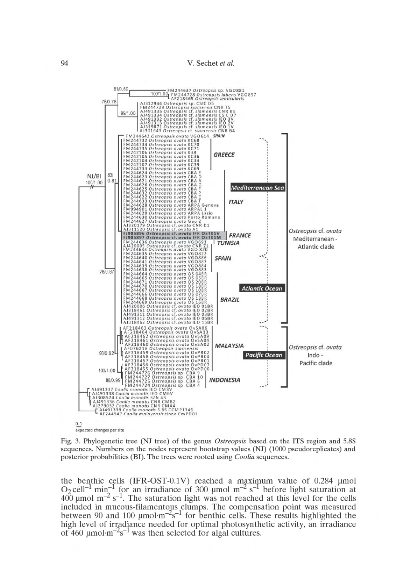

Fig. 3. Phylogenetic tree (NJ tree) of the genus Ostreopsis based on the ITS region and 5.8S sequences. Numbers on the nodes represent bootstrap values (NJ) (1000 pseudoreplicates) and posterior probabilities (BI). The trees were rooted using *Coolia* sequences.

the benthic cells (IFR-OST-0.1V) reached a maximum value of 0.284 µmol O<sub>2</sub> cell<sup>-1</sup> min<sup>-1</sup> for an irradiance of 300 µmol m<sup>-2</sup> s<sup>-1</sup> before light saturation at  $400 \text{ µmol m}^{-2} \text{ s}^{-1}$ . The saturation light was not reached at this level for the cells included in mucous-filamentous clumps. The compensation point was measured<br>between 90 and 100  $\mu$ mol·m<sup>-2</sup>s<sup>-1</sup> for benthic cells. These results highlighted the high level of irradiance needed for optimal photosynthetic activity, an irradiance of 460  $\mu$ mol·m<sup>-2</sup>s<sup>-1</sup> was then selected for algal cultures.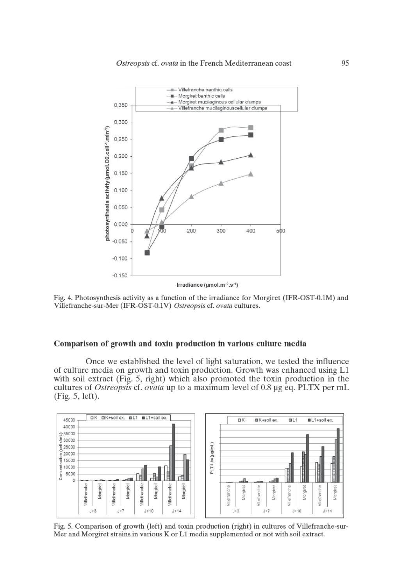

Fig. 4. Photosynthesis activity as a function of the irradiance for Morgiret (IFR-OST-0.1M) and Villefranche-sur-Mer (IFR-OST-0.1V) Ostreopsis cf. ovata cultures.

## Comparison of growth and toxin production in various culture media

Once we established the level of light saturation, we tested the influence of culture media on growth and toxin production. Growth was enhanced using L1 with soil extract (Fig. 5, right) which also promoted the toxin production in the cultures of Ostreopsis cf. ovata up to a maximum level of 0.8 µg eq. PLTX per mL  $(Fig. 5, left).$ 



Fig. 5. Comparison of growth (left) and toxin production (right) in cultures of Villefranche-sur-Mer and Morgiret strains in various K or L1 media supplemented or not with soil extract.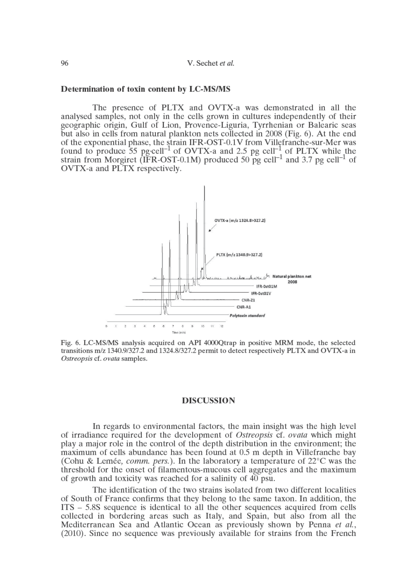| V. Sechet et al. |  |
|------------------|--|
|------------------|--|

# Determination of toxin content by LC-MS/MS

The presence of PLTX and OVTX-a was demonstrated in all the analysed samples, not only in the cells grown in cultures independently of their geographic origin, Gulf of Lion, Provence-Liguria, Tyrrhenian or Balearic seas but also in cells from natural plankton nets collected in 2008 (Fig. 6). At the end of the exponential phase, the strain IFR-OST-0.1V from Villefranche-sur-Mer was found to produce 55 pg·cell<sup>-1</sup> of OVTX-a and 2.5 pg cell<sup>-1</sup> of PLTX while the strain from Morgiret (IFR-OST-0.1M) produced 50 pg cell<sup>-1</sup> and 3.7 pg cell<sup>-1</sup> of OVTX-a and PLTX respectively.



Fig. 6. LC-MS/MS analysis acquired on API 4000Qtrap in positive MRM mode, the selected transitions m/z 1340.9/327.2 and 1324.8/327.2 permit to detect respectively PLTX and OVTX-a in Ostreopsis cf. ovata samples.

## **DISCUSSION**

In regards to environmental factors, the main insight was the high level of irradiance required for the development of *Ostreopsis* cf. *ovata* which might play a major role in the control of the depth distribution in the environment; the maximum of cells abundance has been found at 0.5 m depth in Villefranche bay (Cohu & Lemée, *comm. pers.*). In the laboratory a temperature of  $22^{\circ}$ C was the threshold for the onset of filamentous-mucous cell aggregates and the maximum of growth and toxicity was reached for a salinity of 40 psu.

The identification of the two strains isolated from two different localities of South of France confirms that they belong to the same taxon. In addition, the ITS – 5.8S sequence is identical to all the other sequences acquired from cells collected in bordering areas such as Italy, and Spain, but also from all the Mediterranean Sea and Atlantic Ocean as previously shown by Penna et al., (2010). Since no sequence was previously available for strains from the French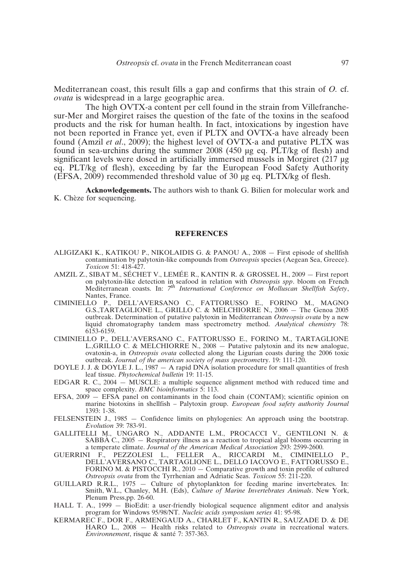Mediterranean coast, this result fills a gap and confirms that this strain of *O.* cf. *ovata* is widespread in a large geographic area.

The high OVTX-a content per cell found in the strain from Villefranchesur-Mer and Morgiret raises the question of the fate of the toxins in the seafood products and the risk for human health. In fact, intoxications by ingestion have not been reported in France yet, even if PLTX and OVTX-a have already been found (Amzil *et al*., 2009); the highest level of OVTX-a and putative PLTX was found in sea-urchins during the summer 2008 (450 µg eq.  $\angle$ PLT/kg of flesh) and significant levels were dosed in artificially immersed mussels in Morgiret (217 µg eq. PLT/kg of flesh), exceeding by far the European Food Safety Authority  $(EFSA, 2009)$  recommended threshold value of 30  $\mu$ g eq. PLTX/kg of flesh.

**Acknowledgements.** The authors wish to thank G. Bilien for molecular work and K. Chèze for sequencing.

#### **REFERENCES**

- ALIGIZAKI K., KATIKOU P., NIKOLAIDIS G. & PANOU A., 2008 First episode of shellfish contamination by palytoxin-like compounds from *Ostreopsis* species (Aegean Sea, Greece). *Toxicon* 51: 418-427.
- AMZIL Z., SIBAT M., SÉCHET V., LEMÉE R., KANTIN R. & GROSSEL H., 2009 First report on palytoxin-like detection in seafood in relation with *Ostreopsis spp*. bloom on French Mediterranean coasts. In: *7 th International Conference on Molluscan Shellfish Safety*, Nantes, France.
- CIMINIELLO P., DELL'AVERSANO C., FATTORUSSO E., FORINO M., MAGNO G.S.,TARTAGLIONE L., GRILLO C. & MELCHIORRE N., 2006 — The Genoa 2005 outbreak. Determination of putative palytoxin in Mediterranean *Ostreopsis ovata* by a new liquid chromatography tandem mass spectrometry method. *Analytical chemistry* 78: 6153-6159.
- CIMINIELLO P., DELL'AVERSANO C., FATTORUSSO E., FORINO M., TARTAGLIONE L.,GRILLO C. & MELCHIORRE N., 2008 — Putative palytoxin and its new analogue, ovatoxin-a, in *Ostreopsis ovata* collected along the Ligurian coasts during the 2006 toxic outbreak. *Journal of the american society of mass spectrom*etry. 19: 111-120.
- DOYLE J. J. & DOYLE J. L., 1987  $-$  A rapid DNA isolation procedure for small quantities of fresh leaf tissue. *Phytochemical bulletin* 19: 11-15.
- EDGAR R. C., 2004 MUSCLE: a multiple sequence alignment method with reduced time and space complexity. *BMC bioinformatics* 5: 113.
- EFSA, 2009 EFSA panel on contaminants in the food chain (CONTAM); scientific opinion on marine biotoxins in shellfish – Palytoxin group. *European food safety authority Journal* 1393: 1-38.
- FELSENSTEIN J., 1985 Confidence limits on phylogenies: An approach using the bootstrap. *Evolution* 39: 783-91.
- GALLITELLI M., UNGARO N., ADDANTE L.M., PROCACCI V., GENTILONI N. & SABBÀ C., 2005 — Respiratory illness as a reaction to tropical algal blooms occurring in a temperate climate. *Journal of the American Medical Association* 293: 2599-2600.
- GUERRINI F., PEZZOLESI L., FELLER A., RICCARDI M., CIMINIELLO P., DELL'AVERSANO C., TARTAGLIONE L., DELLO IACOVO E., FATTORUSSO E., FORINO M. & PISTOCCHI R., 2010 — Comparative growth and toxin profile of cultured *Ostreopsis ovata* from the Tyrrhenian and Adriatic Seas. *Toxicon* 55: 211-220.
- GUILLARD R.R.L., 1975 Culture of phytoplankton for feeding marine invertebrates. In: Smith, W.L., Chanley, M.H. (Eds), *Culture of Marine Invertebrates Animals*. New York, Plenum Press,pp. 26-60.
- HALL T. A., 1999 BioEdit: a user-friendly biological sequence alignment editor and analysis program for Windows 95/98/NT. *Nucleic acids symposium series* 41: 95-98.
- KERMAREC F., DOR F., ARMENGAUD A., CHARLET F., KANTIN R., SAUZADE D. & DE HARO L., 2008 — Health risks related to *Ostreopsis ovata* in recreational waters. *Environnement*, risque & santé 7: 357-363.